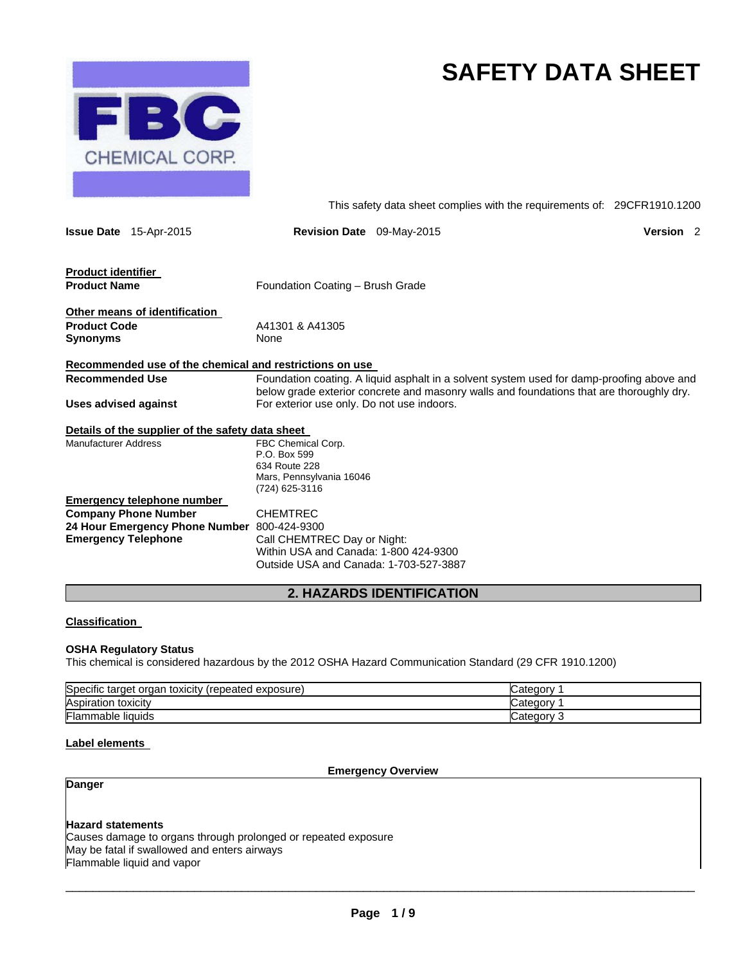

# **SAFETY DATA SHEET**

This safety data sheet complies with the requirements of: 29CFR1910.1200

| <b>Issue Date</b> 15-Apr-2015                           | Revision Date 09-May-2015                                                                                                                                                             |                                  | Version <sub>2</sub> |
|---------------------------------------------------------|---------------------------------------------------------------------------------------------------------------------------------------------------------------------------------------|----------------------------------|----------------------|
| <b>Product identifier</b><br><b>Product Name</b>        | Foundation Coating - Brush Grade                                                                                                                                                      |                                  |                      |
|                                                         |                                                                                                                                                                                       |                                  |                      |
| Other means of identification                           |                                                                                                                                                                                       |                                  |                      |
| <b>Product Code</b>                                     | A41301 & A41305                                                                                                                                                                       |                                  |                      |
| Synonyms                                                | None                                                                                                                                                                                  |                                  |                      |
| Recommended use of the chemical and restrictions on use |                                                                                                                                                                                       |                                  |                      |
| <b>Recommended Use</b>                                  | Foundation coating. A liquid asphalt in a solvent system used for damp-proofing above and<br>below grade exterior concrete and masonry walls and foundations that are thoroughly dry. |                                  |                      |
| Uses advised against                                    | For exterior use only. Do not use indoors.                                                                                                                                            |                                  |                      |
| Details of the supplier of the safety data sheet        |                                                                                                                                                                                       |                                  |                      |
| Manufacturer Address                                    | FBC Chemical Corp.                                                                                                                                                                    |                                  |                      |
|                                                         | P.O. Box 599                                                                                                                                                                          |                                  |                      |
|                                                         | 634 Route 228                                                                                                                                                                         |                                  |                      |
|                                                         | Mars, Pennsylvania 16046                                                                                                                                                              |                                  |                      |
|                                                         | (724) 625-3116                                                                                                                                                                        |                                  |                      |
| <u>Emergency telephone number</u>                       |                                                                                                                                                                                       |                                  |                      |
| <b>Company Phone Number</b>                             | <b>CHEMTREC</b>                                                                                                                                                                       |                                  |                      |
| 24 Hour Emergency Phone Number 800-424-9300             |                                                                                                                                                                                       |                                  |                      |
| <b>Emergency Telephone</b>                              | Call CHEMTREC Day or Night:                                                                                                                                                           |                                  |                      |
|                                                         | Within USA and Canada: 1-800 424-9300                                                                                                                                                 |                                  |                      |
|                                                         | Outside USA and Canada: 1-703-527-3887                                                                                                                                                |                                  |                      |
|                                                         |                                                                                                                                                                                       | <b>2. HAZARDS IDENTIFICATION</b> |                      |

# **Classification**

# **OSHA Regulatory Status**

This chemical is considered hazardous by the 2012 OSHA Hazard Communication Standard (29 CFR 1910.1200)

| Specific<br>toxicity<br>exposure)<br>organ<br>(repeated)<br>target | Categor   |
|--------------------------------------------------------------------|-----------|
| Aspiration<br>toxicity                                             | Categor   |
| Flam.<br>nmable liquids                                            | ICategorv |

# **Label elements**

# **Emergency Overview**

# **Danger**

# **Hazard statements**

Causes damage to organs through prolonged or repeated exposure May be fatal if swallowed and enters airways

Flammable liquid and vapor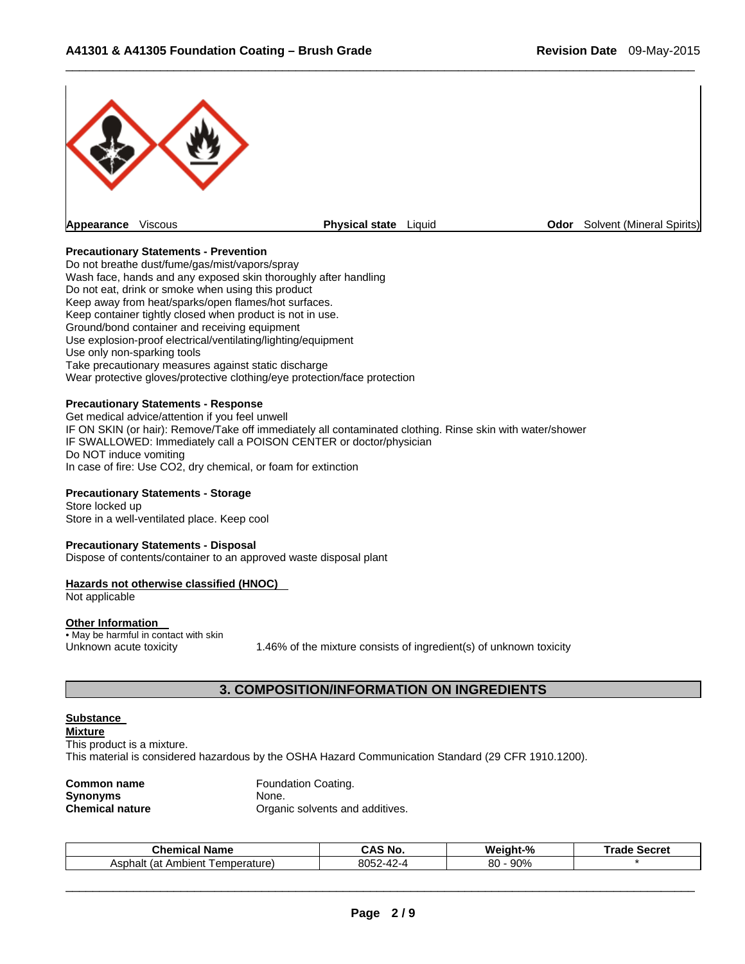

 $\Box$ 

# **Precautionary Statements - Prevention**

Do not breathe dust/fume/gas/mist/vapors/spray Wash face, hands and any exposed skin thoroughly after handling Do not eat, drink or smoke when using this product Keep away from heat/sparks/open flames/hot surfaces. Keep container tightly closed when product is not in use. Ground/bond container and receiving equipment Use explosion-proof electrical/ventilating/lighting/equipment Use only non-sparking tools Take precautionary measures against static discharge Wear protective gloves/protective clothing/eye protection/face protection

# **Precautionary Statements - Response**

Get medical advice/attention if you feel unwell IF ON SKIN (or hair): Remove/Take off immediately all contaminated clothing. Rinse skin with water/shower IF SWALLOWED: Immediately call a POISON CENTER or doctor/physician Do NOT induce vomiting In case of fire: Use CO2, dry chemical, or foam for extinction

# **Precautionary Statements - Storage**

Store locked up Store in a well-ventilated place. Keep cool

#### **Precautionary Statements - Disposal**

Dispose of contents/container to an approved waste disposal plant

#### **Hazards not otherwise classified (HNOC)**

Not applicable

#### **Other Information**

• May be harmful in contact with skin

Unknown acute toxicity 1.46% of the mixture consists of ingredient(s) of unknown toxicity

# **3. COMPOSITION/INFORMATION ON INGREDIENTS**

#### **Substance**

**Mixture**  This product is a mixture. This material is considered hazardous by the OSHA Hazard Communication Standard (29 CFR 1910.1200).

| Common name     |
|-----------------|
| Synonyms        |
| Chemical nature |

**Foundation Coating.** None. **Organic solvents and additives.** 

| Chemio<br>Name<br>.mıc<br>aı.                 | 'N C<br>$\cdot$ $\sim$ | Weiaht-%  | ுவெ<br>Secret |
|-----------------------------------------------|------------------------|-----------|---------------|
| mh<br>emperature)<br>Asphalt<br>(at<br>nbient | 8052-42-4<br>$\sim$    | 80<br>90% |               |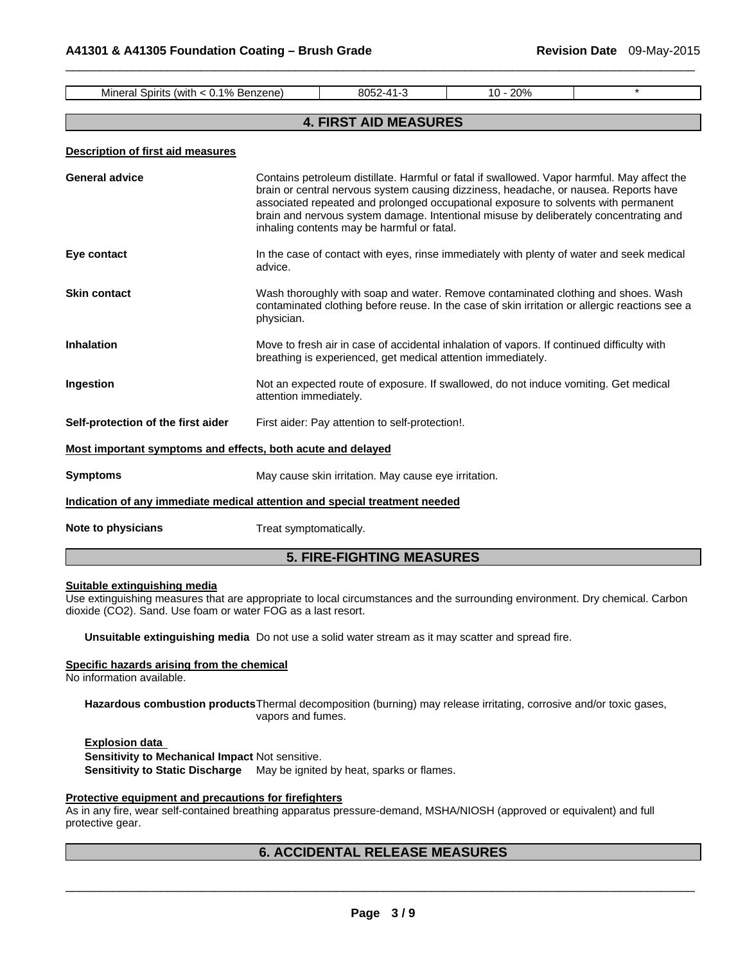| Mineral Spirits (with < 0.1% Benzene)                                      |                                                                                                                                                                                                                                                                                                                                                                                                                  | 8052-41-3                                            | 10 - 20% | $\star$ |
|----------------------------------------------------------------------------|------------------------------------------------------------------------------------------------------------------------------------------------------------------------------------------------------------------------------------------------------------------------------------------------------------------------------------------------------------------------------------------------------------------|------------------------------------------------------|----------|---------|
|                                                                            |                                                                                                                                                                                                                                                                                                                                                                                                                  |                                                      |          |         |
|                                                                            |                                                                                                                                                                                                                                                                                                                                                                                                                  | <b>4. FIRST AID MEASURES</b>                         |          |         |
| <b>Description of first aid measures</b>                                   |                                                                                                                                                                                                                                                                                                                                                                                                                  |                                                      |          |         |
| <b>General advice</b>                                                      | Contains petroleum distillate. Harmful or fatal if swallowed. Vapor harmful. May affect the<br>brain or central nervous system causing dizziness, headache, or nausea. Reports have<br>associated repeated and prolonged occupational exposure to solvents with permanent<br>brain and nervous system damage. Intentional misuse by deliberately concentrating and<br>inhaling contents may be harmful or fatal. |                                                      |          |         |
| Eye contact                                                                | In the case of contact with eyes, rinse immediately with plenty of water and seek medical<br>advice.                                                                                                                                                                                                                                                                                                             |                                                      |          |         |
| <b>Skin contact</b>                                                        | Wash thoroughly with soap and water. Remove contaminated clothing and shoes. Wash<br>contaminated clothing before reuse. In the case of skin irritation or allergic reactions see a<br>physician.                                                                                                                                                                                                                |                                                      |          |         |
| <b>Inhalation</b>                                                          | Move to fresh air in case of accidental inhalation of vapors. If continued difficulty with<br>breathing is experienced, get medical attention immediately.                                                                                                                                                                                                                                                       |                                                      |          |         |
| Ingestion                                                                  | Not an expected route of exposure. If swallowed, do not induce vomiting. Get medical<br>attention immediately.                                                                                                                                                                                                                                                                                                   |                                                      |          |         |
| Self-protection of the first aider                                         | First aider: Pay attention to self-protection!.                                                                                                                                                                                                                                                                                                                                                                  |                                                      |          |         |
| Most important symptoms and effects, both acute and delayed                |                                                                                                                                                                                                                                                                                                                                                                                                                  |                                                      |          |         |
| <b>Symptoms</b>                                                            |                                                                                                                                                                                                                                                                                                                                                                                                                  | May cause skin irritation. May cause eye irritation. |          |         |
| Indication of any immediate medical attention and special treatment needed |                                                                                                                                                                                                                                                                                                                                                                                                                  |                                                      |          |         |
| Note to physicians                                                         | Treat symptomatically.                                                                                                                                                                                                                                                                                                                                                                                           |                                                      |          |         |

 $\Box$ 

# **5. FIRE-FIGHTING MEASURES**

# **Suitable extinguishing media**

Use extinguishing measures that are appropriate to local circumstances and the surrounding environment. Dry chemical. Carbon dioxide (CO2). Sand. Use foam or water FOG as a last resort.

**Unsuitable extinguishing media** Do not use a solid water stream as it may scatter and spread fire.

#### **Specific hazards arising from the chemical**

No information available.

**Hazardous combustion products** Thermal decomposition (burning) may release irritating, corrosive and/or toxic gases, vapors and fumes.

# **Explosion data Sensitivity to Mechanical Impact** Not sensitive. **Sensitivity to Static Discharge** May be ignited by heat, sparks or flames.

# **Protective equipment and precautions for firefighters**

As in any fire, wear self-contained breathing apparatus pressure-demand, MSHA/NIOSH (approved or equivalent) and full protective gear.

# **6. ACCIDENTAL RELEASE MEASURES**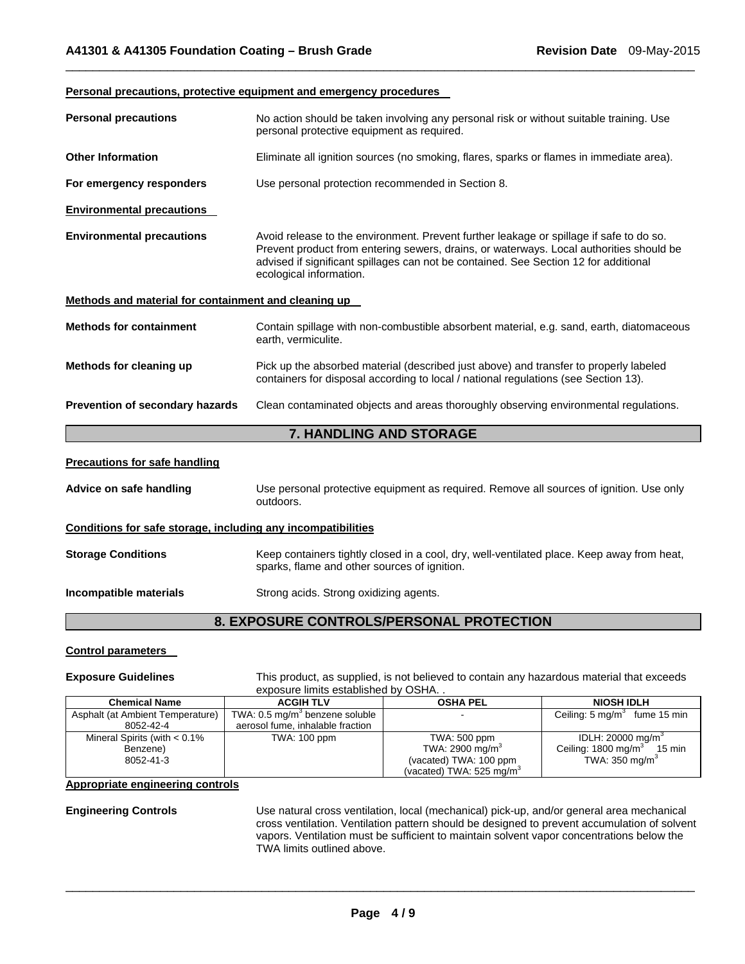#### **Personal precautions, protective equipment and emergency procedures**

| <b>Personal precautions</b>                                  | No action should be taken involving any personal risk or without suitable training. Use<br>personal protective equipment as required.                                                                                                                                                                 |  |
|--------------------------------------------------------------|-------------------------------------------------------------------------------------------------------------------------------------------------------------------------------------------------------------------------------------------------------------------------------------------------------|--|
| <b>Other Information</b>                                     | Eliminate all ignition sources (no smoking, flares, sparks or flames in immediate area).                                                                                                                                                                                                              |  |
| For emergency responders                                     | Use personal protection recommended in Section 8.                                                                                                                                                                                                                                                     |  |
| <b>Environmental precautions</b>                             |                                                                                                                                                                                                                                                                                                       |  |
| <b>Environmental precautions</b>                             | Avoid release to the environment. Prevent further leakage or spillage if safe to do so.<br>Prevent product from entering sewers, drains, or waterways. Local authorities should be<br>advised if significant spillages can not be contained. See Section 12 for additional<br>ecological information. |  |
| Methods and material for containment and cleaning up         |                                                                                                                                                                                                                                                                                                       |  |
| <b>Methods for containment</b>                               | Contain spillage with non-combustible absorbent material, e.g. sand, earth, diatomaceous<br>earth, vermiculite.                                                                                                                                                                                       |  |
| Methods for cleaning up                                      | Pick up the absorbed material (described just above) and transfer to properly labeled<br>containers for disposal according to local / national regulations (see Section 13).                                                                                                                          |  |
| Prevention of secondary hazards                              | Clean contaminated objects and areas thoroughly observing environmental regulations.                                                                                                                                                                                                                  |  |
|                                                              | <b>7. HANDLING AND STORAGE</b>                                                                                                                                                                                                                                                                        |  |
| <b>Precautions for safe handling</b>                         |                                                                                                                                                                                                                                                                                                       |  |
| Advice on safe handling                                      | Use personal protective equipment as required. Remove all sources of ignition. Use only<br>outdoors.                                                                                                                                                                                                  |  |
| Conditions for safe storage, including any incompatibilities |                                                                                                                                                                                                                                                                                                       |  |
| <b>Storage Conditions</b>                                    | Keep containers tightly closed in a cool, dry, well-ventilated place. Keep away from heat,<br>sparks, flame and other sources of ignition.                                                                                                                                                            |  |
| Incompatible materials                                       | Strong acids. Strong oxidizing agents.                                                                                                                                                                                                                                                                |  |
|                                                              | 8. EXPOSURE CONTROLS/PERSONAL PROTECTION                                                                                                                                                                                                                                                              |  |

 $\Box$ 

# **Control parameters**

**Exposure Guidelines** This product, as supplied, is not believed to contain any hazardous material that exceeds exposure limits established by OSHA. .

| <b>Chemical Name</b>             | <b>ACGIH TLV</b>                           | <b>OSHA PEL</b>                      | <b>NIOSH IDLH</b>                         |
|----------------------------------|--------------------------------------------|--------------------------------------|-------------------------------------------|
| Asphalt (at Ambient Temperature) | TWA: 0.5 mg/m <sup>3</sup> benzene soluble |                                      | Ceiling: $5 \text{ mg/m}^3$ fume 15 min   |
| 8052-42-4                        | aerosol fume, inhalable fraction           |                                      |                                           |
| Mineral Spirits (with $< 0.1\%$  | <b>TWA: 100 ppm</b>                        | TWA: 500 ppm                         | IDLH: 20000 mg/m <sup>3</sup>             |
| Benzene)                         |                                            | TWA: 2900 mg/m <sup>3</sup>          | Ceiling: 1800 mg/m <sup>3</sup><br>15 min |
| 8052-41-3                        |                                            | (vacated) TWA: 100 ppm               | TWA: $350 \text{ mg/m}^3$                 |
|                                  |                                            | (vacated) TWA: 525 mg/m <sup>3</sup> |                                           |

# **Appropriate engineering controls**

**Engineering Controls** Use natural cross ventilation, local (mechanical) pick-up, and/or general area mechanical cross ventilation. Ventilation pattern should be designed to prevent accumulation of solvent vapors. Ventilation must be sufficient to maintain solvent vapor concentrations below the TWA limits outlined above.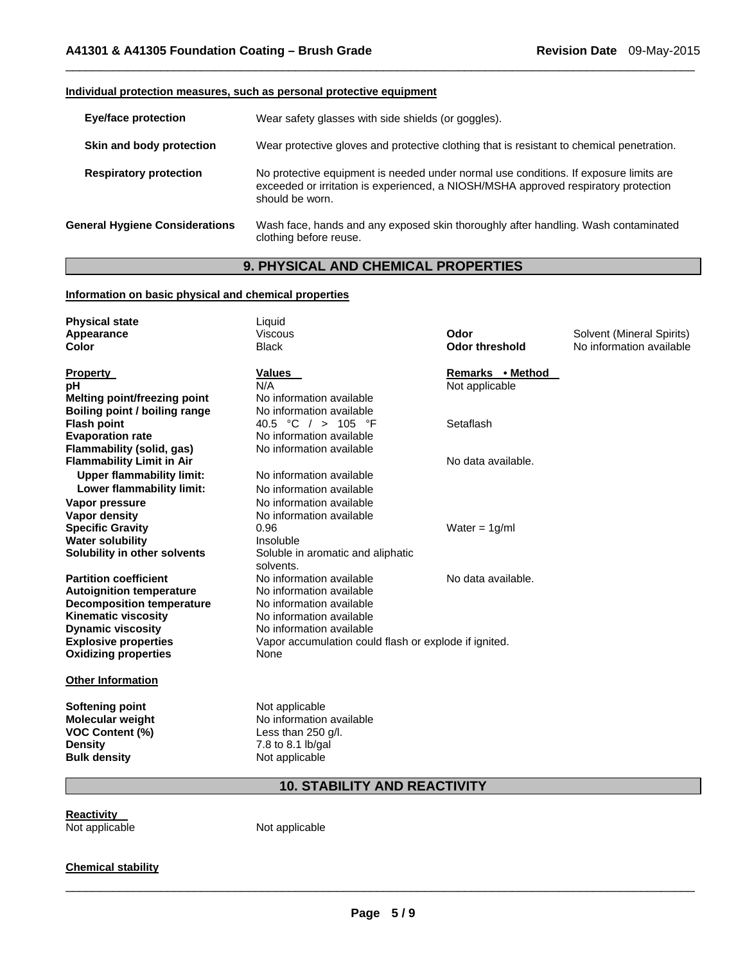# **Individual protection measures, such as personal protective equipment**

| <b>Eye/face protection</b>            | Wear safety glasses with side shields (or goggles).                                                                                                                                             |
|---------------------------------------|-------------------------------------------------------------------------------------------------------------------------------------------------------------------------------------------------|
| Skin and body protection              | Wear protective gloves and protective clothing that is resistant to chemical penetration.                                                                                                       |
| <b>Respiratory protection</b>         | No protective equipment is needed under normal use conditions. If exposure limits are<br>exceeded or irritation is experienced, a NIOSH/MSHA approved respiratory protection<br>should be worn. |
| <b>General Hygiene Considerations</b> | Wash face, hands and any exposed skin thoroughly after handling. Wash contaminated<br>clothing before reuse.                                                                                    |

 $\Box$ 

# **9. PHYSICAL AND CHEMICAL PROPERTIES**

# **Information on basic physical and chemical properties**

| <b>Physical state</b><br>Appearance<br><b>Color</b> | Liquid<br><b>Viscous</b><br><b>Black</b>              | Odor<br><b>Odor threshold</b> | Solvent (Mineral Spirits)<br>No information available |
|-----------------------------------------------------|-------------------------------------------------------|-------------------------------|-------------------------------------------------------|
| <b>Property</b>                                     | <b>Values</b><br>N/A                                  | Remarks • Method              |                                                       |
| рH<br><b>Melting point/freezing point</b>           | No information available                              | Not applicable                |                                                       |
| Boiling point / boiling range                       | No information available                              |                               |                                                       |
| <b>Flash point</b>                                  | 40.5 °C / > 105 °F                                    | Setaflash                     |                                                       |
| <b>Evaporation rate</b>                             | No information available                              |                               |                                                       |
| Flammability (solid, gas)                           | No information available                              |                               |                                                       |
| <b>Flammability Limit in Air</b>                    |                                                       | No data available.            |                                                       |
| <b>Upper flammability limit:</b>                    | No information available                              |                               |                                                       |
| Lower flammability limit:                           | No information available                              |                               |                                                       |
| Vapor pressure                                      | No information available                              |                               |                                                       |
| <b>Vapor density</b>                                | No information available                              |                               |                                                       |
| <b>Specific Gravity</b>                             | 0.96                                                  | Water = $1q/ml$               |                                                       |
| <b>Water solubility</b>                             | Insoluble                                             |                               |                                                       |
| Solubility in other solvents                        | Soluble in aromatic and aliphatic<br>solvents.        |                               |                                                       |
| <b>Partition coefficient</b>                        | No information available                              | No data available.            |                                                       |
| <b>Autoignition temperature</b>                     | No information available                              |                               |                                                       |
| <b>Decomposition temperature</b>                    | No information available                              |                               |                                                       |
| <b>Kinematic viscosity</b>                          | No information available                              |                               |                                                       |
| <b>Dynamic viscosity</b>                            | No information available                              |                               |                                                       |
| <b>Explosive properties</b>                         | Vapor accumulation could flash or explode if ignited. |                               |                                                       |
| <b>Oxidizing properties</b>                         | None                                                  |                               |                                                       |
| <b>Other Information</b>                            |                                                       |                               |                                                       |
| <b>Softening point</b>                              | Not applicable                                        |                               |                                                       |
| <b>Molecular weight</b>                             | No information available                              |                               |                                                       |
| <b>VOC Content (%)</b>                              | Less than 250 g/l.                                    |                               |                                                       |
| <b>Density</b>                                      | 7.8 to 8.1 lb/gal                                     |                               |                                                       |
| <b>Bulk density</b>                                 | Not applicable                                        |                               |                                                       |
|                                                     |                                                       |                               |                                                       |

# **10. STABILITY AND REACTIVITY**

**Reactivity** 

Not applicable

# **Chemical stability**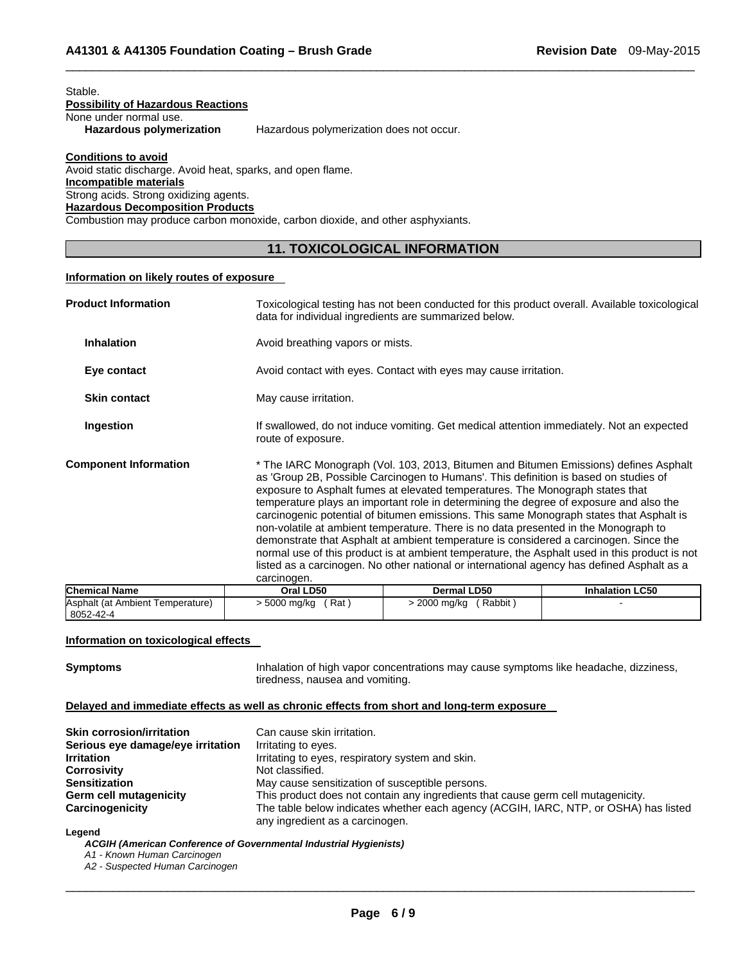#### Stable.

# **Possibility of Hazardous Reactions**

None under normal use.<br>Hazardous polymerization

**Hazardous polymerization** Hazardous polymerization does not occur.

# **Conditions to avoid**

Avoid static discharge. Avoid heat, sparks, and open flame. **Incompatible materials**  Strong acids. Strong oxidizing agents. **Hazardous Decomposition Products**  Combustion may produce carbon monoxide, carbon dioxide, and other asphyxiants.

# **11. TOXICOLOGICAL INFORMATION**

 $\Box$ 

# **Information on likely routes of exposure**

| <b>Product Information</b>   | Toxicological testing has not been conducted for this product overall. Available toxicological<br>data for individual ingredients are summarized below.                                                                                                                                                                                                                                                                                                                                                                                                                                                                                                                                                                                                                                                                                          |
|------------------------------|--------------------------------------------------------------------------------------------------------------------------------------------------------------------------------------------------------------------------------------------------------------------------------------------------------------------------------------------------------------------------------------------------------------------------------------------------------------------------------------------------------------------------------------------------------------------------------------------------------------------------------------------------------------------------------------------------------------------------------------------------------------------------------------------------------------------------------------------------|
| <b>Inhalation</b>            | Avoid breathing vapors or mists.                                                                                                                                                                                                                                                                                                                                                                                                                                                                                                                                                                                                                                                                                                                                                                                                                 |
| Eye contact                  | Avoid contact with eyes. Contact with eyes may cause irritation.                                                                                                                                                                                                                                                                                                                                                                                                                                                                                                                                                                                                                                                                                                                                                                                 |
| <b>Skin contact</b>          | May cause irritation.                                                                                                                                                                                                                                                                                                                                                                                                                                                                                                                                                                                                                                                                                                                                                                                                                            |
| Ingestion                    | If swallowed, do not induce vomiting. Get medical attention immediately. Not an expected<br>route of exposure.                                                                                                                                                                                                                                                                                                                                                                                                                                                                                                                                                                                                                                                                                                                                   |
| <b>Component Information</b> | * The IARC Monograph (Vol. 103, 2013, Bitumen and Bitumen Emissions) defines Asphalt<br>as 'Group 2B, Possible Carcinogen to Humans'. This definition is based on studies of<br>exposure to Asphalt fumes at elevated temperatures. The Monograph states that<br>temperature plays an important role in determining the degree of exposure and also the<br>carcinogenic potential of bitumen emissions. This same Monograph states that Asphalt is<br>non-volatile at ambient temperature. There is no data presented in the Monograph to<br>demonstrate that Asphalt at ambient temperature is considered a carcinogen. Since the<br>normal use of this product is at ambient temperature, the Asphalt used in this product is not<br>listed as a carcinogen. No other national or international agency has defined Asphalt as a<br>carcinogen. |

| <b>Chemical Name</b>                          | Oral LD50               | Dermal LD50            | <b>Inhalation LC50</b> |
|-----------------------------------------------|-------------------------|------------------------|------------------------|
| Asphalt (at Ambient Temperature)<br>8052-42-4 | - 5000 mg/kg<br>ˈ Rat ˈ | Rabbit<br>2000 mg/kg ⇒ |                        |

# **Information on toxicological effects**

**Symptoms** Inhalation of high vapor concentrations may cause symptoms like headache, dizziness, tiredness, nausea and vomiting.

# **Delayed and immediate effects as well as chronic effects from short and long-term exposure**

| <b>Skin corrosion/irritation</b>  | Can cause skin irritation.                                                           |
|-----------------------------------|--------------------------------------------------------------------------------------|
| Serious eye damage/eye irritation | Irritating to eyes.                                                                  |
| <b>Irritation</b>                 | Irritating to eyes, respiratory system and skin.                                     |
| <b>Corrosivity</b>                | Not classified.                                                                      |
| <b>Sensitization</b>              | May cause sensitization of susceptible persons.                                      |
| Germ cell mutagenicity            | This product does not contain any ingredients that cause germ cell mutagenicity.     |
| Carcinogenicity                   | The table below indicates whether each agency (ACGIH, IARC, NTP, or OSHA) has listed |
|                                   | any ingredient as a carcinogen.                                                      |

#### **Legend**

*ACGIH (American Conference of Governmental Industrial Hygienists)* 

*A1 - Known Human Carcinogen* 

*A2 - Suspected Human Carcinogen*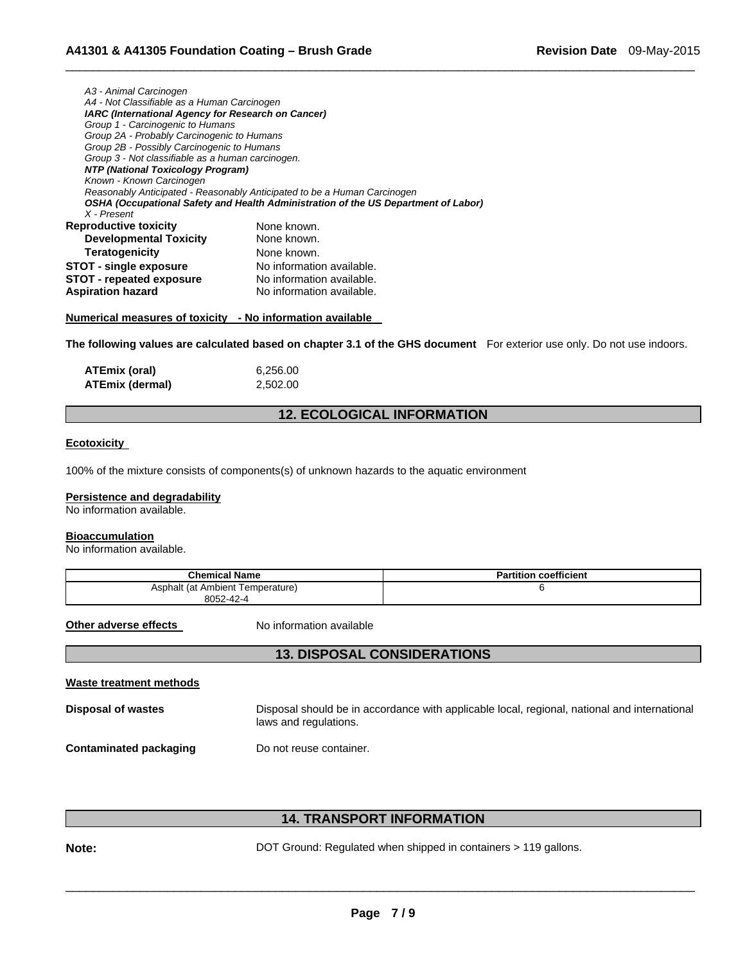| A3 - Animal Carcinogen                             |                                                                                    |  |  |  |
|----------------------------------------------------|------------------------------------------------------------------------------------|--|--|--|
| A4 - Not Classifiable as a Human Carcinogen        |                                                                                    |  |  |  |
| IARC (International Agency for Research on Cancer) |                                                                                    |  |  |  |
| Group 1 - Carcinogenic to Humans                   |                                                                                    |  |  |  |
| Group 2A - Probably Carcinogenic to Humans         |                                                                                    |  |  |  |
| Group 2B - Possibly Carcinogenic to Humans         |                                                                                    |  |  |  |
| Group 3 - Not classifiable as a human carcinogen.  |                                                                                    |  |  |  |
| <b>NTP (National Toxicology Program)</b>           |                                                                                    |  |  |  |
| Known - Known Carcinogen                           |                                                                                    |  |  |  |
|                                                    | Reasonably Anticipated - Reasonably Anticipated to be a Human Carcinogen           |  |  |  |
|                                                    | OSHA (Occupational Safety and Health Administration of the US Department of Labor) |  |  |  |
| X - Present                                        |                                                                                    |  |  |  |
| <b>Reproductive toxicity</b>                       | None known.                                                                        |  |  |  |
| <b>Developmental Toxicity</b>                      | None known.                                                                        |  |  |  |
| <b>Teratogenicity</b>                              | None known.                                                                        |  |  |  |
| <b>STOT - single exposure</b>                      | No information available.                                                          |  |  |  |
| <b>STOT - repeated exposure</b>                    | No information available.                                                          |  |  |  |
| <b>Aspiration hazard</b>                           | No information available.                                                          |  |  |  |
|                                                    |                                                                                    |  |  |  |

**Numerical measures of toxicity - No information available** 

**The following values are calculated based on chapter 3.1 of the GHS document** For exterior use only. Do not use indoors.

 $\Box$ 

| ATEmix (oral)   | 6,256.00 |
|-----------------|----------|
| ATEmix (dermal) | 2,502.00 |

# **12. ECOLOGICAL INFORMATION**

# **Ecotoxicity**

100% of the mixture consists of components(s) of unknown hazards to the aquatic environment

#### **Persistence and degradability**

No information available.

#### **Bioaccumulation**

No information available.

| <b>Chemical Name</b>             | <b>Partition coefficient</b> |
|----------------------------------|------------------------------|
| Asphalt (at Ambient Temperature) |                              |
| 8052-42-4                        |                              |

**Other adverse effects** No information available

# **13. DISPOSAL CONSIDERATIONS**

| Waste treatment methods |                                                                                                                       |
|-------------------------|-----------------------------------------------------------------------------------------------------------------------|
| Disposal of wastes      | Disposal should be in accordance with applicable local, regional, national and international<br>laws and regulations. |
| Contaminated packaging  | Do not reuse container.                                                                                               |

# **14. TRANSPORT INFORMATION**

**Note: DOT** Ground: Regulated when shipped in containers > 119 gallons.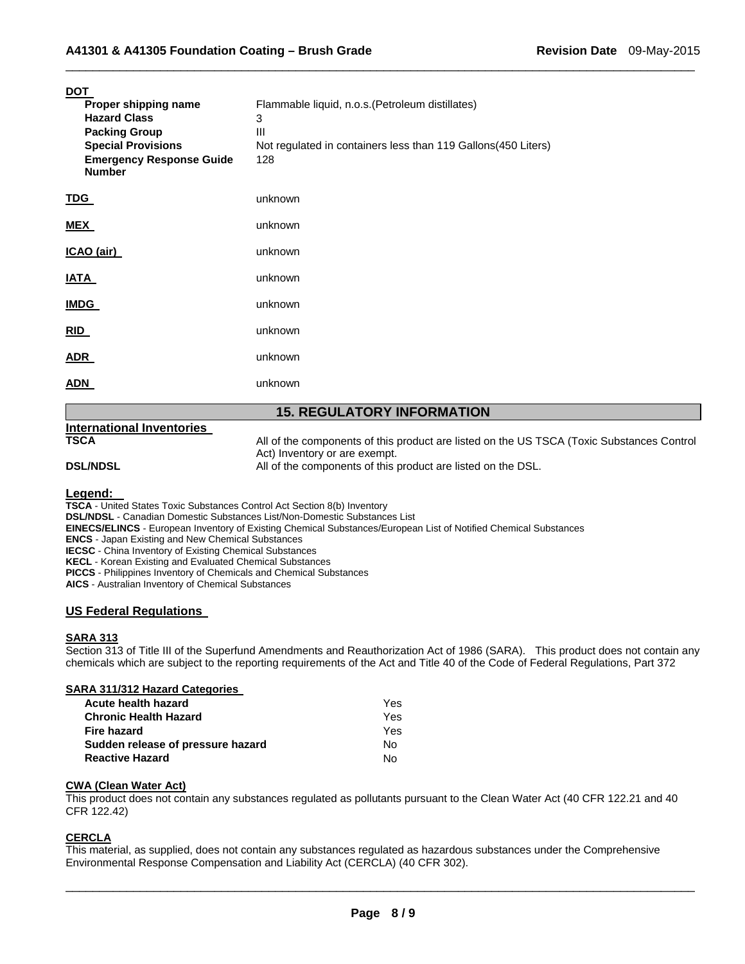| <b>DOT</b><br>Proper shipping name<br><b>Hazard Class</b><br><b>Packing Group</b><br><b>Special Provisions</b><br><b>Emergency Response Guide</b><br><b>Number</b> | Flammable liquid, n.o.s. (Petroleum distillates)<br>3<br>Ш<br>Not regulated in containers less than 119 Gallons(450 Liters)<br>128 |  |  |
|--------------------------------------------------------------------------------------------------------------------------------------------------------------------|------------------------------------------------------------------------------------------------------------------------------------|--|--|
| <u>TDG</u>                                                                                                                                                         | unknown                                                                                                                            |  |  |
| <u>MEX</u>                                                                                                                                                         | unknown                                                                                                                            |  |  |
| ICAO (air)                                                                                                                                                         | unknown                                                                                                                            |  |  |
| <b>IATA</b>                                                                                                                                                        | unknown                                                                                                                            |  |  |
| <u>IMDG</u>                                                                                                                                                        | unknown                                                                                                                            |  |  |
| RID                                                                                                                                                                | unknown                                                                                                                            |  |  |
| <b>ADR</b>                                                                                                                                                         | unknown                                                                                                                            |  |  |
| <u>ADN</u>                                                                                                                                                         | unknown                                                                                                                            |  |  |
| <b>15. REGULATORY INFORMATION</b>                                                                                                                                  |                                                                                                                                    |  |  |
| <b>International Inventories</b><br><b>TSCA</b>                                                                                                                    | All of the components of this product are listed on the US TSCA (Toxic Substances Control<br>Act) Inventory or are exempt.         |  |  |

 $\Box$ 

**DSL/NDSL All of the components of this product are listed on the DSL.** 

**Legend: TSCA** - United States Toxic Substances Control Act Section 8(b) Inventory

**DSL/NDSL** - Canadian Domestic Substances List/Non-Domestic Substances List

**EINECS/ELINCS** - European Inventory of Existing Chemical Substances/European List of Notified Chemical Substances

**ENCS** - Japan Existing and New Chemical Substances

**IECSC** - China Inventory of Existing Chemical Substances

**KECL** - Korean Existing and Evaluated Chemical Substances

**PICCS** - Philippines Inventory of Chemicals and Chemical Substances

**AICS** - Australian Inventory of Chemical Substances

# **US Federal Regulations**

#### **SARA 313**

Section 313 of Title III of the Superfund Amendments and Reauthorization Act of 1986 (SARA). This product does not contain any chemicals which are subject to the reporting requirements of the Act and Title 40 of the Code of Federal Regulations, Part 372

# **SARA 311/312 Hazard Categories**

| Acute health hazard               | Yes |
|-----------------------------------|-----|
| <b>Chronic Health Hazard</b>      | Yes |
| Fire hazard                       | Yes |
| Sudden release of pressure hazard | Nο  |
| <b>Reactive Hazard</b>            | Nο  |

# **CWA (Clean Water Act)**

This product does not contain any substances regulated as pollutants pursuant to the Clean Water Act (40 CFR 122.21 and 40 CFR 122.42)

# **CERCLA**

This material, as supplied, does not contain any substances regulated as hazardous substances under the Comprehensive Environmental Response Compensation and Liability Act (CERCLA) (40 CFR 302).